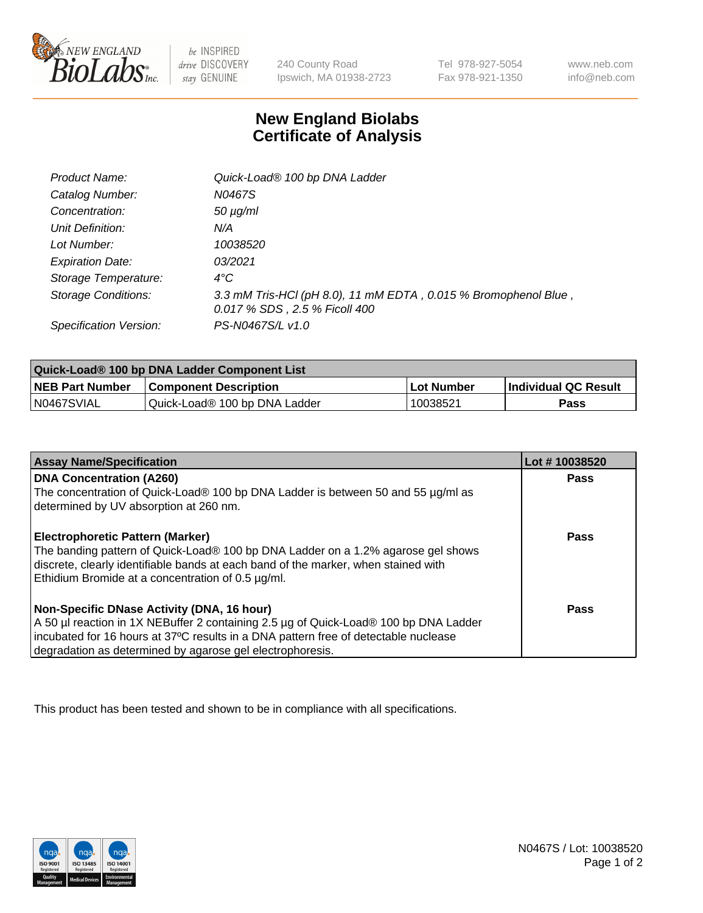

 $be$  INSPIRED drive DISCOVERY stay GENUINE

240 County Road Ipswich, MA 01938-2723 Tel 978-927-5054 Fax 978-921-1350 www.neb.com info@neb.com

## **New England Biolabs Certificate of Analysis**

| <b>Product Name:</b>       | Quick-Load® 100 bp DNA Ladder                                                                    |
|----------------------------|--------------------------------------------------------------------------------------------------|
| Catalog Number:            | N0467S                                                                                           |
| Concentration:             | $50 \mu g/ml$                                                                                    |
| Unit Definition:           | N/A                                                                                              |
| Lot Number:                | 10038520                                                                                         |
| <b>Expiration Date:</b>    | 03/2021                                                                                          |
| Storage Temperature:       | $4^{\circ}$ C                                                                                    |
| <b>Storage Conditions:</b> | 3.3 mM Tris-HCl (pH 8.0), 11 mM EDTA, 0.015 % Bromophenol Blue,<br>0.017 % SDS, 2.5 % Ficoll 400 |
| Specification Version:     | PS-N0467S/L v1.0                                                                                 |

| Quick-Load® 100 bp DNA Ladder Component List |                               |             |                             |  |
|----------------------------------------------|-------------------------------|-------------|-----------------------------|--|
| <b>NEB Part Number</b>                       | <b>Component Description</b>  | ⊥Lot Number | <b>Individual QC Result</b> |  |
| N0467SVIAL                                   | Quick-Load® 100 bp DNA Ladder | 10038521    | Pass                        |  |

| <b>Assay Name/Specification</b>                                                                                                                                                                                                                                                        | Lot #10038520 |
|----------------------------------------------------------------------------------------------------------------------------------------------------------------------------------------------------------------------------------------------------------------------------------------|---------------|
| <b>DNA Concentration (A260)</b><br>The concentration of Quick-Load® 100 bp DNA Ladder is between 50 and 55 µg/ml as<br>determined by UV absorption at 260 nm.                                                                                                                          | <b>Pass</b>   |
| <b>Electrophoretic Pattern (Marker)</b><br>The banding pattern of Quick-Load® 100 bp DNA Ladder on a 1.2% agarose gel shows<br>discrete, clearly identifiable bands at each band of the marker, when stained with<br>Ethidium Bromide at a concentration of 0.5 µg/ml.                 | Pass          |
| Non-Specific DNase Activity (DNA, 16 hour)<br>A 50 µl reaction in 1X NEBuffer 2 containing 2.5 µg of Quick-Load® 100 bp DNA Ladder<br>incubated for 16 hours at 37°C results in a DNA pattern free of detectable nuclease<br>degradation as determined by agarose gel electrophoresis. | Pass          |

This product has been tested and shown to be in compliance with all specifications.